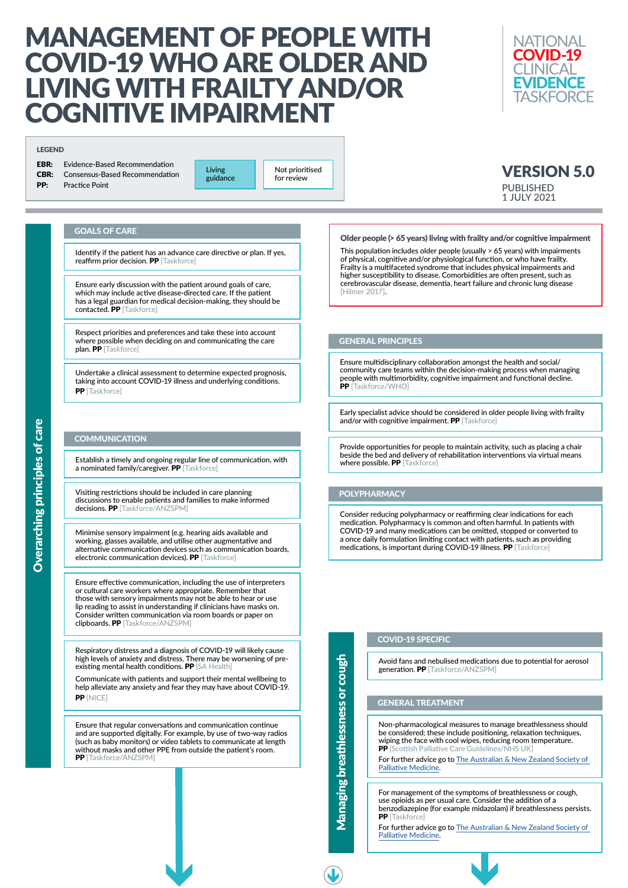# MANAGEMENT OF PEOPLE WITH COVID-19 WHO ARE OLDER AND LIVING WITH FRAILTY AND/OR COGNITIVE IMPAIRMENT

# Older people (> 65 years) living with frailty and/or cognitive impairment

**NATIONAL COVID-19** CI INICAL **EVIDENCE TASKFORCE** 

This population includes older people (usually > 65 years) with impairments of physical, cognitive and/or physiological function, or who have frailty. Frailty is a multifaceted syndrome that includes physical impairments and higher susceptibility to disease. Comorbidities are often present, such as cerebrovascular disease, dementia, heart failure and chronic lung disease [Hilmer 2017].

Undertake a clinical assessment to determine expected prognosis, taking into account COVID-19 illness and underlying conditions. PP [Taskforce]

# **COMMUNICATION**

### GOALS OF CARE

Identify if the patient has an advance care directive or plan. If yes, reaffirm prior decision. PP [Taskforce]

Establish a timely and ongoing regular line of communication, with a nominated family/caregiver. PP [Taskforce]

Ensure early discussion with the patient around goals of care, which may include active disease-directed care. If the patient has a legal guardian for medical decision-making, they should be contacted. PP [Taskforce]

Respiratory distress and a diagnosis of COVID-19 will likely cause high levels of anxiety and distress. There may be worsening of preexisting mental health conditions. PP [SA Health]

# VERSION 5.0 PUBLISHED 1 JULY 2021

Respect priorities and preferences and take these into account where possible when deciding on and communicating the care plan. PP [Taskforce]

> Early specialist advice should be considered in older people living with frailty and/or with cognitive impairment. PP [Taskforce]

Minimise sensory impairment (e.g. hearing aids available and working, glasses available, and utilise other augmentative and alternative communication devices such as communication boards, electronic communication devices). PP [Taskforce]

Ensure multidisciplinary collaboration amongst the health and social/ community care teams within the decision-making process when managing people with multimorbidity, cognitive impairment and functional decline. PP [Taskforce/WHO]

Provide opportunities for people to maintain activity, such as placing a chair beside the bed and delivery of rehabilitation interventions via virtual means where possible. PP [Taskforce]

Visiting restrictions should be included in care planning discussions to enable patients and families to make informed decisions. PP [Taskforce/ANZSPM]

> Avoid fans and nebulised medications due to potential for aerosol generation. PP [Taskforce/ANZSPM]

Communicate with patients and support their mental wellbeing to help alleviate any anxiety and fear they may have about COVID-19. PP [NICE]

> For management of the symptoms of breathlessness or cough, use opioids as per usual care. Consider the addition of a benzodiazepine (for example midazolam) if breathlessness persists. PP [Taskforce]

Ensure that regular conversations and communication continue and are supported digitally. For example, by use of two-way radios (such as baby monitors) or video tablets to communicate at length without masks and other PPE from outside the patient's room. PP [Taskforce/ANZSPM]

**Living** guidance

Ensure effective communication, including the use of interpreters or cultural care workers where appropriate. Remember that those with sensory impairments may not be able to hear or use lip reading to assist in understanding if clinicians have masks on. Consider written communication via room boards or paper on clipboards. PP [Taskforce/ANZSPM]

# GENERAL PRINCIPLES

# POLYPHARMACY

Consider reducing polypharmacy or reaffirming clear indications for each medication. Polypharmacy is common and often harmful. In patients with COVID-19 and many medications can be omitted, stopped or converted to a once daily formulation limiting contact with patients, such as providing medications, is important during COVID-19 illness. PP [Taskforce]

#### COVID-19 SPECIFIC

Managing breathlessness or cough

**Managing breathlessness or co** 

 $\frac{1}{60}$ 

Non-pharmacological measures to manage breathlessness should be considered; these include positioning, relaxation techniques, wiping the face with cool wipes, reducing room temperature. PP [Scottish Palliative Care Guidelines/NHS UK]

[For further advice go to The Australian & New Zealand Society of](https://www.anzspm.org.au/c/anzspm)  [Palliative Medicine.](https://www.anzspm.org.au/c/anzspm)

#### GENERAL TREATMENT

For further advice go to [The Australian & New Zealand Society of](https://www.anzspm.org.au/c/anzspm)  [Palliative Medicine.](https://www.anzspm.org.au/c/anzspm)



#### LEGEND

| <b>EBR:</b> Evidence-Based Recommendation  |
|--------------------------------------------|
| <b>CBR:</b> Consensus-Based Recommendation |
| <b>PP:</b> Practice Point                  |

Not prioritised for review